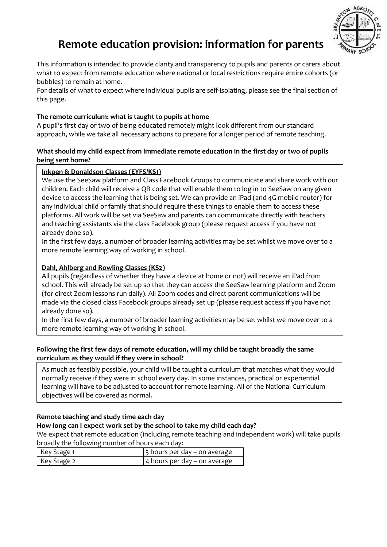

# **Remote education provision: information for parents**

This information is intended to provide clarity and transparency to pupils and parents or carers about what to expect from remote education where national or local restrictions require entire cohorts (or bubbles) to remain at home.

For details of what to expect where individual pupils are self-isolating, please see the final section of this page.

## **The remote curriculum: what is taught to pupils at home**

A pupil's first day or two of being educated remotely might look different from our standard approach, while we take all necessary actions to prepare for a longer period of remote teaching.

### **What should my child expect from immediate remote education in the first day or two of pupils being sent home?**

## **Inkpen & Donaldson Classes (EYFS/KS1)**

We use the SeeSaw platform and Class Facebook Groups to communicate and share work with our children. Each child will receive a QR code that will enable them to log in to SeeSaw on any given device to access the learning that is being set. We can provide an iPad (and 4G mobile router) for any individual child or family that should require these things to enable them to access these platforms. All work will be set via SeeSaw and parents can communicate directly with teachers and teaching assistants via the class Facebook group (please request access if you have not already done so).

In the first few days, a number of broader learning activities may be set whilst we move over to a more remote learning way of working in school.

## **Dahl, Ahlberg and Rowling Classes (KS2)**

All pupils (regardless of whether they have a device at home or not) will receive an iPad from school. This will already be set up so that they can access the SeeSaw learning platform and Zoom (for direct Zoom lessons run daily). All Zoom codes and direct parent communications will be made via the closed class Facebook groups already set up (please request access if you have not already done so).

In the first few days, a number of broader learning activities may be set whilst we move over to a more remote learning way of working in school.

## Following the first few days of remote education, will my child be taught broadly the same **curriculum as they would if they were in school?**

As much as feasibly possible, your child will be taught a curriculum that matches what they would normally receive if they were in school every day. In some instances, practical or experiential learning will have to be adjusted to account for remote learning. All of the National Curriculum objectives will be covered as normal.

#### **Remote teaching and study time each day**

#### **How long can I expect work set by the school to take my child each day?**

We expect that remote education (including remote teaching and independent work) will take pupils broadly the following number of hours each day:

| Key Stage 1 | $\vert$ 3 hours per day – on average |
|-------------|--------------------------------------|
| Key Stage 2 | 4 hours per day – on average         |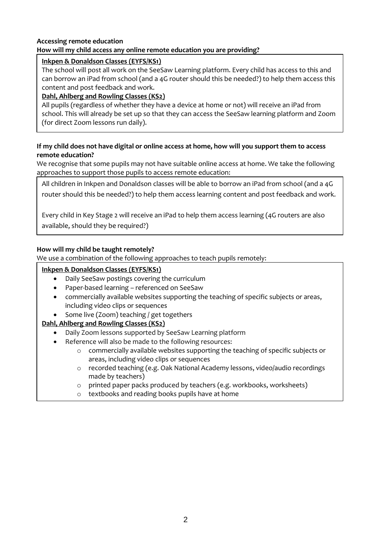#### **Accessing remote education How will my child access any online remote education you are providing?**

### **Inkpen & Donaldson Classes (EYFS/KS1)**

The school will post all work on the SeeSaw Learning platform. Every child has access to this and can borrow an iPad from school (and a 4G router should this be needed?) to help them access this content and post feedback and work.

## **Dahl, Ahlberg and Rowling Classes (KS2)**

All pupils (regardless of whether they have a device at home or not) will receive an iPad from school. This will already be set up so that they can access the SeeSaw learning platform and Zoom (for direct Zoom lessons run daily).

## **If my child does not have digital or online access at home, how will you support them to access remote education?**

We recognise that some pupils may not have suitable online access at home. We take the following approaches to support those pupils to access remote education:

All children in Inkpen and Donaldson classes will be able to borrow an iPad from school (and a 4G router should this be needed?) to help them access learning content and post feedback and work.

Every child in Key Stage 2 will receive an iPad to help them access learning (4G routers are also available, should they be required?)

## **How will my child be taught remotely?**

We use a combination of the following approaches to teach pupils remotely:

## **Inkpen & Donaldson Classes (EYFS/KS1)**

- Daily SeeSaw postings covering the curriculum
- Paper-based learning referenced on SeeSaw
- commercially available websites supporting the teaching of specific subjects or areas, including video clips or sequences
- Some live (Zoom) teaching / get togethers

## **Dahl, Ahlberg and Rowling Classes (KS2)**

- Daily Zoom lessons supported by SeeSaw Learning platform
- Reference will also be made to the following resources:
	- o commercially available websites supporting the teaching of specific subjects or areas, including video clips or sequences
	- o recorded teaching (e.g. Oak National Academy lessons, video/audio recordings made by teachers)
	- o printed paper packs produced by teachers (e.g. workbooks, worksheets)
	- o textbooks and reading books pupils have at home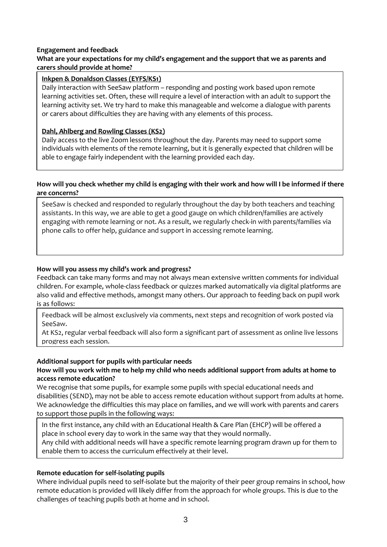#### **Engagement and feedback**

#### **What are your expectations for my child's engagement and the support that we as parents and carers should provide at home?**

#### **Inkpen & Donaldson Classes (EYFS/KS1)**

Daily interaction with SeeSaw platform – responding and posting work based upon remote learning activities set. Often, these will require a level of interaction with an adult to support the learning activity set. We try hard to make this manageable and welcome a dialogue with parents or carers about difficulties they are having with any elements of this process.

#### **Dahl, Ahlberg and Rowling Classes (KS2)**

Daily access to the live Zoom lessons throughout the day. Parents may need to support some individuals with elements of the remote learning, but it is generally expected that children will be able to engage fairly independent with the learning provided each day.

#### **How will you check whether my child is engaging with their work and how will I be informed if there are concerns?**

SeeSaw is checked and responded to regularly throughout the day by both teachers and teaching assistants. In this way, we are able to get a good gauge on which children/families are actively engaging with remote learning or not. As a result, we regularly check-in with parents/families via phone calls to offer help, guidance and support in accessing remote learning.

#### **How will you assess my child's work and progress?**

Feedback can take many forms and may not always mean extensive written comments for individual children. For example, whole-class feedback or quizzes marked automatically via digital platforms are also valid and effective methods, amongst many others. Our approach to feeding back on pupil work is as follows:

Feedback will be almost exclusively via comments, next steps and recognition of work posted via SeeSaw.

At KS2, regular verbal feedback will also form a significant part of assessment as online live lessons progress each session.

#### **Additional support for pupils with particular needs**

#### **How will you work with me to help my child who needs additional support from adults at home to access remote education?**

We recognise that some pupils, for example some pupils with special educational needs and disabilities (SEND), may not be able to access remote education without support from adults at home. We acknowledge the difficulties this may place on families, and we will work with parents and carers to support those pupils in the following ways:

In the first instance, any child with an Educational Health & Care Plan (EHCP) will be offered a place in school every day to work in the same way that they would normally.

Any child with additional needs will have a specific remote learning program drawn up for them to enable them to access the curriculum effectively at their level.

#### **Remote education for self-isolating pupils**

Where individual pupils need to self-isolate but the majority of their peer group remains in school, how remote education is provided will likely differ from the approach for whole groups. This is due to the challenges of teaching pupils both at home and in school.